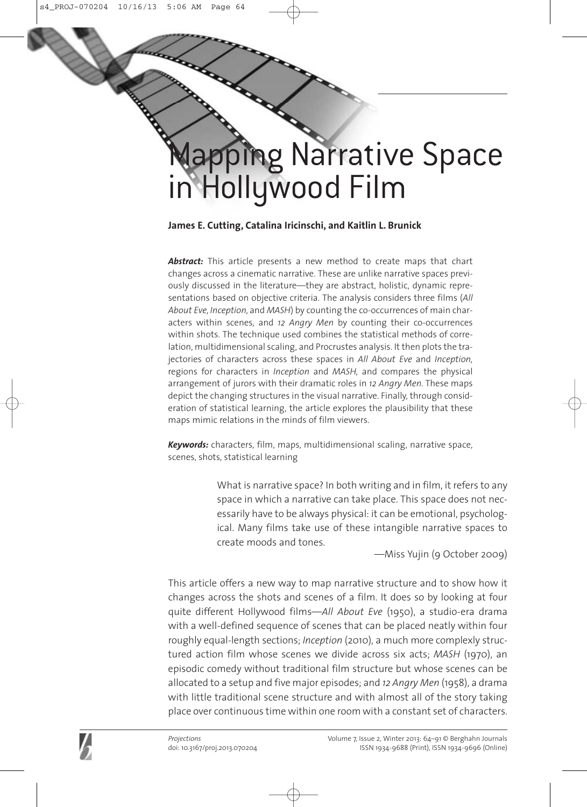# apping Narrative Space in Hollywood Film

James E. Cutting, Catalina Iricinschi, and Kaitlin L. Brunick

dadardere

**Abstract:** This article presents a new method to create maps that chart changes across a cinematic narrative. These are unlike narrative spaces previously discussed in the literature—they are abstract, holistic, dynamic representations based on objective criteria. The analysis considers three films (All About Eve, Inception, and MASH) by counting the co-occurrences of main characters within scenes, and 12 Angry Men by counting their co-occurrences within shots. The technique used combines the statistical methods of correlation, multidimensional scaling, and Procrustes analysis. It then plots the trajectories of characters across these spaces in All About Eve and Inception, regions for characters in Inception and MASH, and compares the physical arrangement of jurors with their dramatic roles in 12 Angry Men. These maps depict the changing structures in the visual narrative. Finally, through consideration of statistical learning, the article explores the plausibility that these maps mimic relations in the minds of film viewers.

Keywords: characters, film, maps, multidimensional scaling, narrative space, scenes, shots, statistical learning

> What is narrative space? In both writing and in film, it refers to any space in which a narrative can take place. This space does not necessarily have to be always physical: it can be emotional, psychological. Many films take use of these intangible narrative spaces to create moods and tones

-Miss Yujin (9 October 2009)

This article offers a new way to map narrative structure and to show how it changes across the shots and scenes of a film. It does so by looking at four quite different Hollywood films-All About Eve (1950), a studio-era drama with a well-defined sequence of scenes that can be placed neatly within four roughly equal-length sections; Inception (2010), a much more complexly structured action film whose scenes we divide across six acts; MASH (1970), an episodic comedy without traditional film structure but whose scenes can be allocated to a setup and five major episodes; and 12 Angry Men (1958), a drama with little traditional scene structure and with almost all of the story taking place over continuous time within one room with a constant set of characters.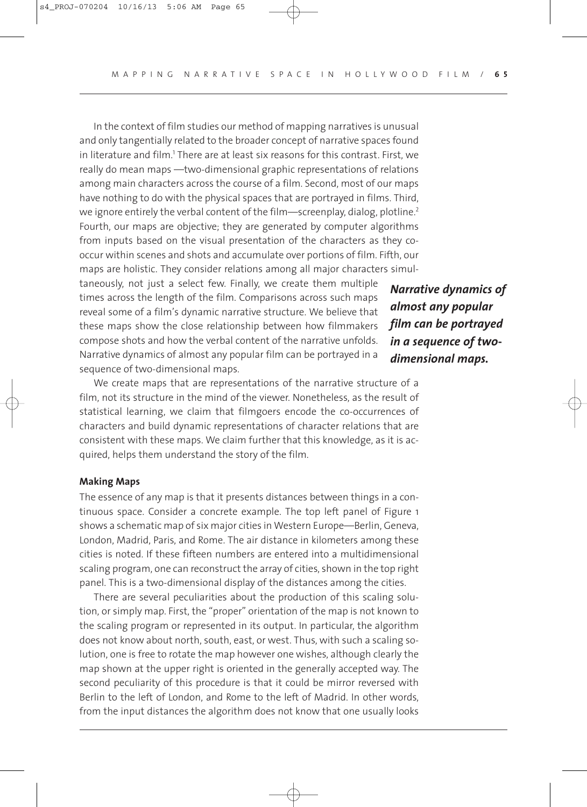In the context of film studies our method of mapping narratives is unusual and only tangentially related to the broader concept of narrative spaces found in literature and film.<sup>1</sup> There are at least six reasons for this contrast. First, we really do mean maps - two-dimensional graphic representations of relations among main characters across the course of a film. Second, most of our maps have nothing to do with the physical spaces that are portrayed in films. Third, we ignore entirely the verbal content of the film-screenplay, dialog, plotline.<sup>2</sup> Fourth, our maps are objective; they are generated by computer algorithms from inputs based on the visual presentation of the characters as they cooccur within scenes and shots and accumulate over portions of film. Fifth, our maps are holistic. They consider relations among all major characters simultaneously, not just a select few. Finally, we create them multiple

times across the length of the film. Comparisons across such maps reveal some of a film's dynamic narrative structure. We believe that these maps show the close relationship between how filmmakers compose shots and how the verbal content of the narrative unfolds. Narrative dynamics of almost any popular film can be portrayed in a sequence of two-dimensional maps.

We create maps that are representations of the narrative structure of a film, not its structure in the mind of the viewer. Nonetheless, as the result of statistical learning, we claim that filmgoers encode the co-occurrences of characters and build dynamic representations of character relations that are consistent with these maps. We claim further that this knowledge, as it is acquired, helps them understand the story of the film.

#### **Making Maps**

The essence of any map is that it presents distances between things in a continuous space. Consider a concrete example. The top left panel of Figure 1 shows a schematic map of six major cities in Western Europe-Berlin, Geneva, London. Madrid, Paris, and Rome. The air distance in kilometers among these cities is noted. If these fifteen numbers are entered into a multidimensional scaling program, one can reconstruct the array of cities, shown in the top right panel. This is a two-dimensional display of the distances among the cities.

There are several peculiarities about the production of this scaling solution, or simply map. First, the "proper" orientation of the map is not known to the scaling program or represented in its output. In particular, the algorithm does not know about north, south, east, or west. Thus, with such a scaling solution, one is free to rotate the map however one wishes, although clearly the map shown at the upper right is oriented in the generally accepted way. The second peculiarity of this procedure is that it could be mirror reversed with Berlin to the left of London, and Rome to the left of Madrid. In other words, from the input distances the algorithm does not know that one usually looks

Narrative dynamics of almost any popular film can be portrayed in a sequence of twodimensional maps.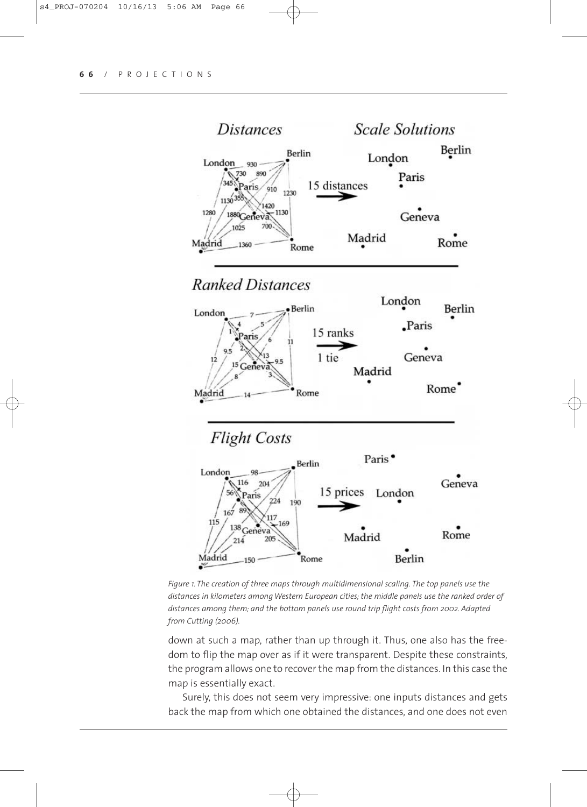

Figure 1. The creation of three maps through multidimensional scaling. The top panels use the distances in kilometers among Western European cities; the middle panels use the ranked order of distances among them; and the bottom panels use round trip flight costs from 2002. Adapted from Cutting (2006).

down at such a map, rather than up through it. Thus, one also has the freedom to flip the map over as if it were transparent. Despite these constraints, the program allows one to recover the map from the distances. In this case the map is essentially exact.

Surely, this does not seem very impressive: one inputs distances and gets back the map from which one obtained the distances, and one does not even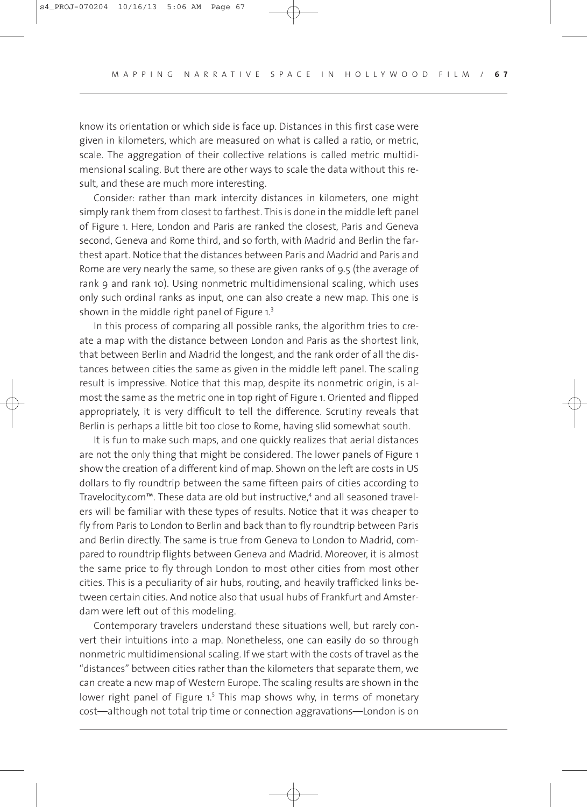know its orientation or which side is face up. Distances in this first case were given in kilometers, which are measured on what is called a ratio, or metric, scale. The aggregation of their collective relations is called metric multidimensional scaling. But there are other ways to scale the data without this result, and these are much more interesting.

Consider: rather than mark intercity distances in kilometers, one might simply rank them from closest to farthest. This is done in the middle left panel of Figure 1. Here, London and Paris are ranked the closest, Paris and Geneva second, Geneva and Rome third, and so forth, with Madrid and Berlin the farthest apart. Notice that the distances between Paris and Madrid and Paris and Rome are very nearly the same, so these are given ranks of 9.5 (the average of rank 9 and rank 10). Using nonmetric multidimensional scaling, which uses only such ordinal ranks as input, one can also create a new map. This one is shown in the middle right panel of Figure 1.3

In this process of comparing all possible ranks, the algorithm tries to create a map with the distance between London and Paris as the shortest link, that between Berlin and Madrid the longest, and the rank order of all the distances between cities the same as given in the middle left panel. The scaling result is impressive. Notice that this map, despite its nonmetric origin, is almost the same as the metric one in top right of Figure 1. Oriented and flipped appropriately, it is very difficult to tell the difference. Scrutiny reveals that Berlin is perhaps a little bit too close to Rome, having slid somewhat south.

It is fun to make such maps, and one quickly realizes that aerial distances are not the only thing that might be considered. The lower panels of Figure 1 show the creation of a different kind of map. Shown on the left are costs in US dollars to fly roundtrip between the same fifteen pairs of cities according to Travelocity.com<sup>™</sup>. These data are old but instructive,<sup>4</sup> and all seasoned travelers will be familiar with these types of results. Notice that it was cheaper to fly from Paris to London to Berlin and back than to fly roundtrip between Paris and Berlin directly. The same is true from Geneva to London to Madrid, compared to roundtrip flights between Geneva and Madrid. Moreover, it is almost the same price to fly through London to most other cities from most other cities. This is a peculiarity of air hubs, routing, and heavily trafficked links between certain cities. And notice also that usual hubs of Frankfurt and Amsterdam were left out of this modeling.

Contemporary travelers understand these situations well, but rarely convert their intuitions into a map. Nonetheless, one can easily do so through nonmetric multidimensional scaling. If we start with the costs of travel as the "distances" between cities rather than the kilometers that separate them, we can create a new map of Western Europe. The scaling results are shown in the lower right panel of Figure 1.<sup>5</sup> This map shows why, in terms of monetary cost—although not total trip time or connection aggravations—London is on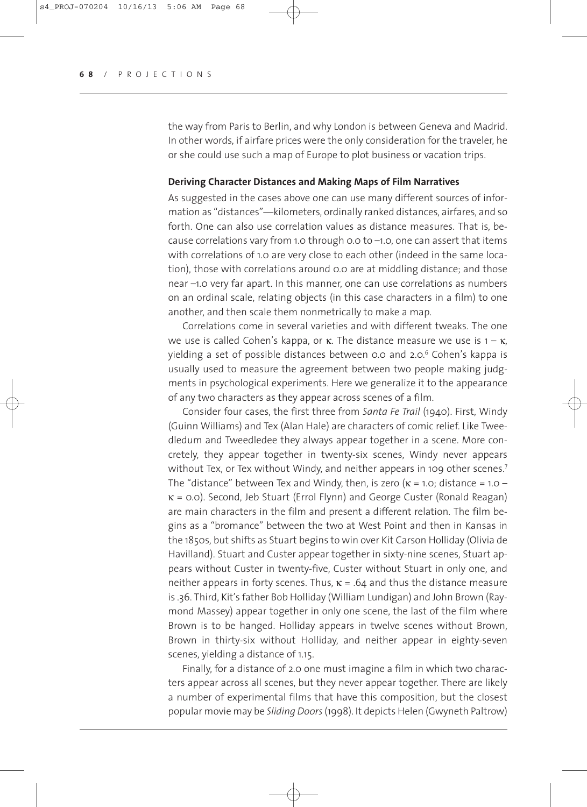the way from Paris to Berlin, and why London is between Geneva and Madrid. In other words, if airfare prices were the only consideration for the traveler, he or she could use such a map of Europe to plot business or vacation trips.

#### Deriving Character Distances and Making Maps of Film Narratives

As suggested in the cases above one can use many different sources of information as "distances"-kilometers, ordinally ranked distances, airfares, and so forth. One can also use correlation values as distance measures. That is, because correlations vary from 1.0 through 0.0 to -1.0, one can assert that items with correlations of 1.0 are very close to each other (indeed in the same location), those with correlations around 0.0 are at middling distance; and those near -1.0 very far apart. In this manner, one can use correlations as numbers on an ordinal scale, relating objects (in this case characters in a film) to one another, and then scale them nonmetrically to make a map.

Correlations come in several varieties and with different tweaks. The one we use is called Cohen's kappa, or  $\kappa$ . The distance measure we use is  $1 - \kappa$ . yielding a set of possible distances between 0.0 and 2.0.<sup>6</sup> Cohen's kappa is usually used to measure the agreement between two people making judgments in psychological experiments. Here we generalize it to the appearance of any two characters as they appear across scenes of a film.

Consider four cases, the first three from Santa Fe Trail (1940). First, Windy (Guinn Williams) and Tex (Alan Hale) are characters of comic relief. Like Tweedledum and Tweedledee they always appear together in a scene. More concretely, they appear together in twenty-six scenes, Windy never appears without Tex, or Tex without Windy, and neither appears in 109 other scenes.<sup>7</sup> The "distance" between Tex and Windy, then, is zero ( $\kappa$  = 1.0; distance = 1.0 - $\kappa$  = 0.0). Second, Jeb Stuart (Errol Flynn) and George Custer (Ronald Reagan) are main characters in the film and present a different relation. The film begins as a "bromance" between the two at West Point and then in Kansas in the 1850s, but shifts as Stuart begins to win over Kit Carson Holliday (Olivia de Havilland). Stuart and Custer appear together in sixty-nine scenes, Stuart appears without Custer in twenty-five, Custer without Stuart in only one, and neither appears in forty scenes. Thus,  $\kappa = .64$  and thus the distance measure is .36. Third, Kit's father Bob Holliday (William Lundigan) and John Brown (Raymond Massey) appear together in only one scene, the last of the film where Brown is to be hanged. Holliday appears in twelve scenes without Brown, Brown in thirty-six without Holliday, and neither appear in eighty-seven scenes, yielding a distance of 1.15.

Finally, for a distance of 2.0 one must imagine a film in which two characters appear across all scenes, but they never appear together. There are likely a number of experimental films that have this composition, but the closest popular movie may be Sliding Doors (1998). It depicts Helen (Gwyneth Paltrow)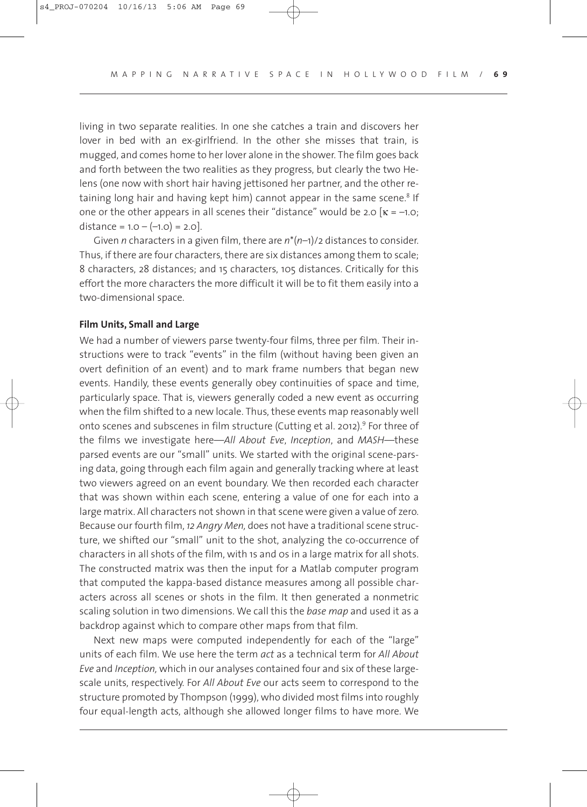living in two separate realities. In one she catches a train and discovers her lover in bed with an ex-girlfriend. In the other she misses that train, is mugged, and comes home to her lover alone in the shower. The film goes back and forth between the two realities as they progress, but clearly the two Helens (one now with short hair having jettisoned her partner, and the other retaining long hair and having kept him) cannot appear in the same scene.<sup>8</sup> If one or the other appears in all scenes their "distance" would be 2.0  $\kappa$  = -1.0; distance =  $1.0 - (-1.0) = 2.0$ .

Given *n* characters in a given film, there are  $n*(n-1)/2$  distances to consider. Thus, if there are four characters, there are six distances among them to scale; 8 characters, 28 distances; and 15 characters, 105 distances. Critically for this effort the more characters the more difficult it will be to fit them easily into a two-dimensional space.

#### Film Units, Small and Large

We had a number of viewers parse twenty-four films, three per film. Their instructions were to track "events" in the film (without having been given an overt definition of an event) and to mark frame numbers that began new events. Handily, these events generally obey continuities of space and time, particularly space. That is, viewers generally coded a new event as occurring when the film shifted to a new locale. Thus, these events map reasonably well onto scenes and subscenes in film structure (Cutting et al. 2012).<sup>9</sup> For three of the films we investigate here-All About Eve, Inception, and MASH-these parsed events are our "small" units. We started with the original scene-parsing data, going through each film again and generally tracking where at least two viewers agreed on an event boundary. We then recorded each character that was shown within each scene, entering a value of one for each into a large matrix. All characters not shown in that scene were given a value of zero. Because our fourth film, 12 Angry Men, does not have a traditional scene structure, we shifted our "small" unit to the shot, analyzing the co-occurrence of characters in all shots of the film, with 1s and os in a large matrix for all shots. The constructed matrix was then the input for a Matlab computer program that computed the kappa-based distance measures among all possible characters across all scenes or shots in the film. It then generated a nonmetric scaling solution in two dimensions. We call this the base map and used it as a backdrop against which to compare other maps from that film.

Next new maps were computed independently for each of the "large" units of each film. We use here the term act as a technical term for All About Eve and Inception, which in our analyses contained four and six of these largescale units, respectively. For All About Eve our acts seem to correspond to the structure promoted by Thompson (1999), who divided most films into roughly four equal-length acts, although she allowed longer films to have more. We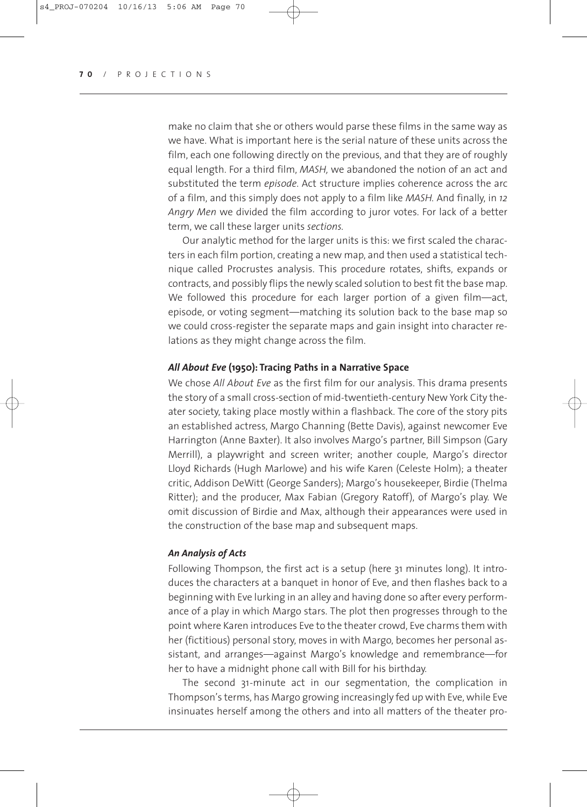make no claim that she or others would parse these films in the same way as we have. What is important here is the serial nature of these units across the film, each one following directly on the previous, and that they are of roughly equal length. For a third film, MASH, we abandoned the notion of an act and substituted the term episode. Act structure implies coherence across the arc of a film, and this simply does not apply to a film like MASH. And finally, in 12 Angry Men we divided the film according to juror votes. For lack of a better term, we call these larger units sections.

Our analytic method for the larger units is this: we first scaled the characters in each film portion, creating a new map, and then used a statistical technique called Procrustes analysis. This procedure rotates, shifts, expands or contracts, and possibly flips the newly scaled solution to best fit the base map. We followed this procedure for each larger portion of a given film-act, episode, or voting segment—matching its solution back to the base map so we could cross-register the separate maps and gain insight into character relations as they might change across the film.

### All About Eve (1950): Tracing Paths in a Narrative Space

We chose All About Eve as the first film for our analysis. This drama presents the story of a small cross-section of mid-twentieth-century New York City theater society, taking place mostly within a flashback. The core of the story pits an established actress, Margo Channing (Bette Davis), against newcomer Eve Harrington (Anne Baxter). It also involves Margo's partner, Bill Simpson (Gary Merrill), a playwright and screen writer; another couple, Margo's director Lloyd Richards (Hugh Marlowe) and his wife Karen (Celeste Holm); a theater critic, Addison DeWitt (George Sanders); Margo's housekeeper, Birdie (Thelma Ritter); and the producer, Max Fabian (Gregory Ratoff), of Margo's play. We omit discussion of Birdie and Max, although their appearances were used in the construction of the base map and subsequent maps.

#### An Analysis of Acts

Following Thompson, the first act is a setup (here 31 minutes long). It introduces the characters at a banquet in honor of Eve, and then flashes back to a beginning with Eve lurking in an alley and having done so after every performance of a play in which Margo stars. The plot then progresses through to the point where Karen introduces Eve to the theater crowd, Eve charms them with her (fictitious) personal story, moves in with Margo, becomes her personal assistant, and arranges-against Margo's knowledge and remembrance-for her to have a midnight phone call with Bill for his birthday.

The second 31-minute act in our segmentation, the complication in Thompson's terms, has Margo growing increasingly fed up with Eve, while Eve insinuates herself among the others and into all matters of the theater pro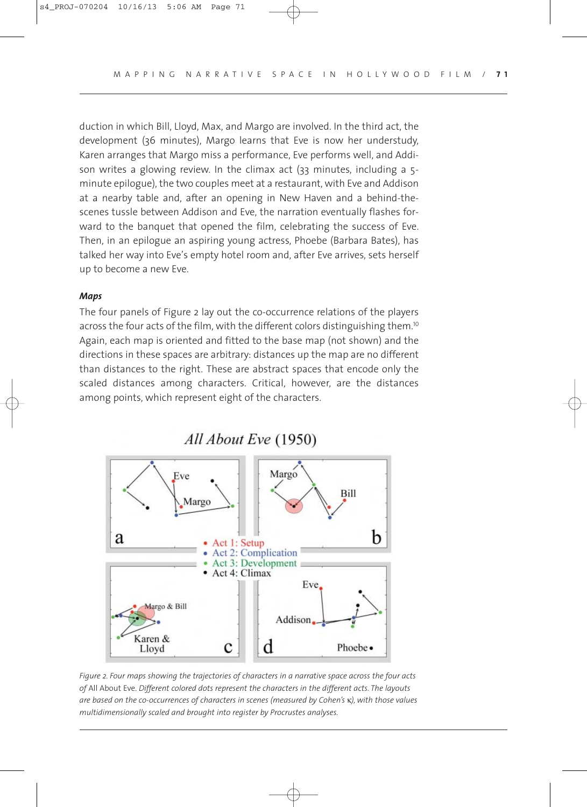duction in which Bill, Lloyd, Max, and Margo are involved. In the third act, the development (36 minutes), Margo learns that Eve is now her understudy, Karen arranges that Margo miss a performance, Eve performs well, and Addison writes a glowing review. In the climax act  $(33)$  minutes, including a  $5$ minute epilogue), the two couples meet at a restaurant, with Eve and Addison at a nearby table and, after an opening in New Haven and a behind-thescenes tussle between Addison and Eve, the narration eventually flashes forward to the banquet that opened the film, celebrating the success of Eve. Then, in an epilogue an aspiring young actress, Phoebe (Barbara Bates), has talked her way into Eve's empty hotel room and, after Eve arrives, sets herself up to become a new Eve.

### **Maps**

The four panels of Figure 2 lay out the co-occurrence relations of the players across the four acts of the film, with the different colors distinguishing them.<sup>10</sup> Again, each map is oriented and fitted to the base map (not shown) and the directions in these spaces are arbitrary: distances up the map are no different than distances to the right. These are abstract spaces that encode only the scaled distances among characters. Critical, however, are the distances among points, which represent eight of the characters.



All About Eve (1950)

Figure 2. Four maps showing the trajectories of characters in a narrative space across the four acts of All About Eve. Different colored dots represent the characters in the different acts. The layouts are based on the co-occurrences of characters in scenes (measured by Cohen's x), with those values multidimensionally scaled and brought into register by Procrustes analyses.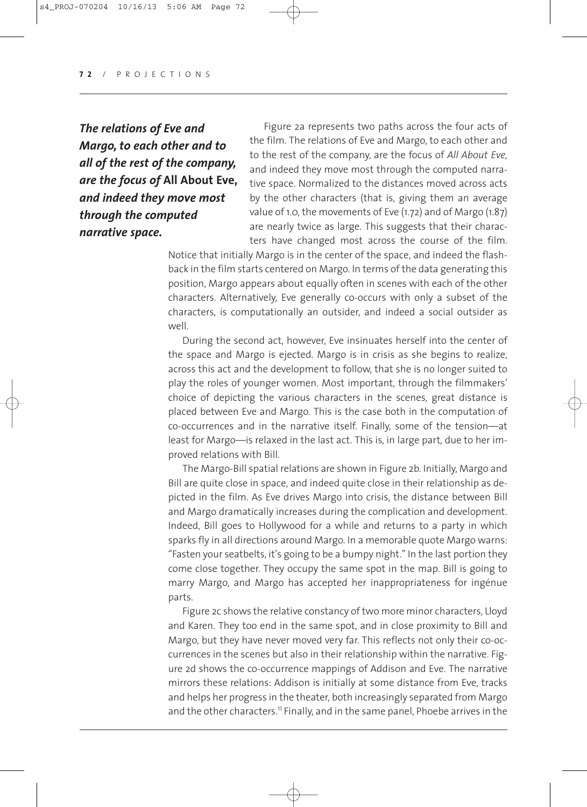The relations of Eve and Margo, to each other and to all of the rest of the company, are the focus of All About Eve, and indeed they move most through the computed narrative space.

Figure 2a represents two paths across the four acts of the film. The relations of Eve and Margo, to each other and to the rest of the company, are the focus of All About Eve, and indeed they move most through the computed narrative space. Normalized to the distances moved across acts by the other characters (that is, giving them an average value of 1.0, the movements of Eve (1.72) and of Margo (1.87) are nearly twice as large. This suggests that their characters have changed most across the course of the film.

Notice that initially Margo is in the center of the space, and indeed the flashback in the film starts centered on Margo. In terms of the data generating this position, Margo appears about equally often in scenes with each of the other characters. Alternatively, Eve generally co-occurs with only a subset of the characters, is computationally an outsider, and indeed a social outsider as well.

During the second act, however, Eve insinuates herself into the center of the space and Margo is ejected. Margo is in crisis as she begins to realize, across this act and the development to follow, that she is no longer suited to play the roles of younger women. Most important, through the filmmakers' choice of depicting the various characters in the scenes, great distance is placed between Eve and Margo. This is the case both in the computation of co-occurrences and in the narrative itself. Finally, some of the tension-at least for Margo-is relaxed in the last act. This is, in large part, due to her improved relations with Bill.

The Margo-Bill spatial relations are shown in Figure 2b. Initially, Margo and Bill are quite close in space, and indeed quite close in their relationship as depicted in the film. As Eve drives Margo into crisis, the distance between Bill and Margo dramatically increases during the complication and development. Indeed, Bill goes to Hollywood for a while and returns to a party in which sparks fly in all directions around Margo. In a memorable quote Margo warns: "Fasten your seatbelts, it's going to be a bumpy night." In the last portion they come close together. They occupy the same spot in the map. Bill is going to marry Margo, and Margo has accepted her inappropriateness for ingénue parts.

Figure 2c shows the relative constancy of two more minor characters, Lloyd and Karen. They too end in the same spot, and in close proximity to Bill and Margo, but they have never moved very far. This reflects not only their co-occurrences in the scenes but also in their relationship within the narrative. Figure 2d shows the co-occurrence mappings of Addison and Eve. The narrative mirrors these relations: Addison is initially at some distance from Eve, tracks and helps her progress in the theater, both increasingly separated from Margo and the other characters.<sup>11</sup> Finally, and in the same panel, Phoebe arrives in the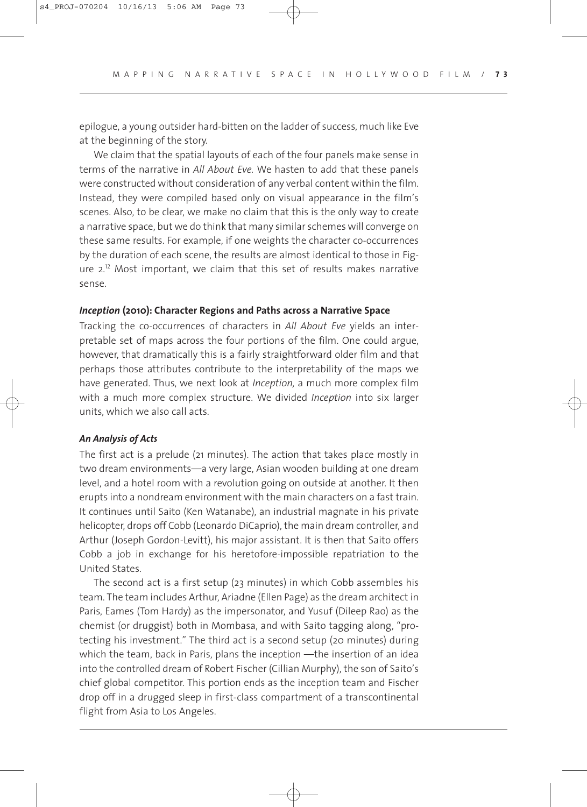epilogue, a young outsider hard-bitten on the ladder of success, much like Eve at the beginning of the story.

We claim that the spatial layouts of each of the four panels make sense in terms of the narrative in All About Eve. We hasten to add that these panels were constructed without consideration of any verbal content within the film. Instead, they were compiled based only on visual appearance in the film's scenes. Also, to be clear, we make no claim that this is the only way to create a narrative space, but we do think that many similar schemes will converge on these same results. For example, if one weights the character co-occurrences by the duration of each scene, the results are almost identical to those in Figure 2.<sup>12</sup> Most important, we claim that this set of results makes narrative sense.

### Inception (2010): Character Regions and Paths across a Narrative Space

Tracking the co-occurrences of characters in All About Eve yields an interpretable set of maps across the four portions of the film. One could argue, however, that dramatically this is a fairly straightforward older film and that perhaps those attributes contribute to the interpretability of the maps we have generated. Thus, we next look at Inception, a much more complex film with a much more complex structure. We divided Inception into six larger units, which we also call acts.

#### An Analysis of Acts

The first act is a prelude (21 minutes). The action that takes place mostly in two dream environments-a very large, Asian wooden building at one dream level, and a hotel room with a revolution going on outside at another. It then erupts into a nondream environment with the main characters on a fast train. It continues until Saito (Ken Watanabe), an industrial magnate in his private helicopter, drops off Cobb (Leonardo DiCaprio), the main dream controller, and Arthur (Joseph Gordon-Levitt), his major assistant. It is then that Saito offers Cobb a job in exchange for his heretofore-impossible repatriation to the United States.

The second act is a first setup (23 minutes) in which Cobb assembles his team. The team includes Arthur, Ariadne (Ellen Page) as the dream architect in Paris, Eames (Tom Hardy) as the impersonator, and Yusuf (Dileep Rao) as the chemist (or druggist) both in Mombasa, and with Saito tagging along, "protecting his investment." The third act is a second setup (20 minutes) during which the team, back in Paris, plans the inception - the insertion of an idea into the controlled dream of Robert Fischer (Cillian Murphy), the son of Saito's chief global competitor. This portion ends as the inception team and Fischer drop off in a drugged sleep in first-class compartment of a transcontinental flight from Asia to Los Angeles.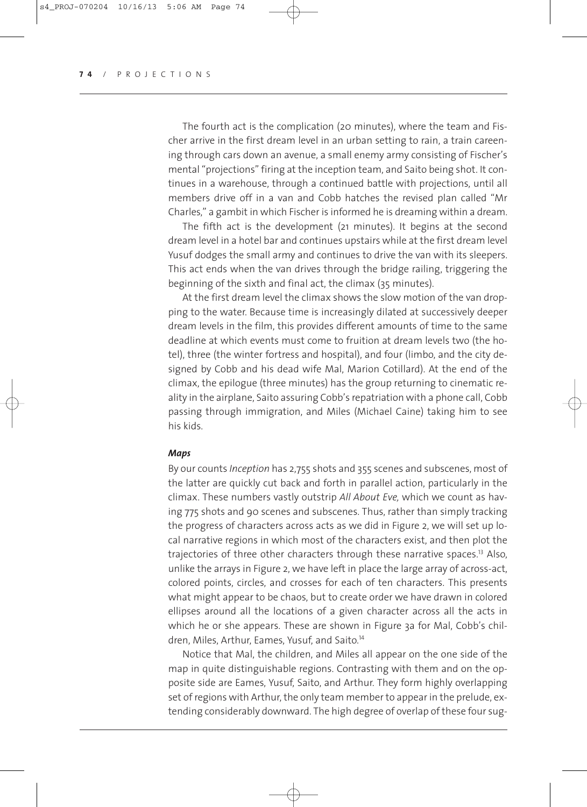The fourth act is the complication (20 minutes), where the team and Fischer arrive in the first dream level in an urban setting to rain, a train careening through cars down an avenue, a small enemy army consisting of Fischer's mental "projections" firing at the inception team, and Saito being shot. It continues in a warehouse, through a continued battle with projections, until all members drive off in a van and Cobb hatches the revised plan called "Mr Charles," a gambit in which Fischer is informed he is dreaming within a dream.

The fifth act is the development (21 minutes). It begins at the second dream level in a hotel bar and continues upstairs while at the first dream level Yusuf dodges the small army and continues to drive the van with its sleepers. This act ends when the van drives through the bridge railing, triggering the beginning of the sixth and final act, the climax (35 minutes).

At the first dream level the climax shows the slow motion of the van dropping to the water. Because time is increasingly dilated at successively deeper dream levels in the film, this provides different amounts of time to the same deadline at which events must come to fruition at dream levels two (the hotel), three (the winter fortress and hospital), and four (limbo, and the city designed by Cobb and his dead wife Mal, Marion Cotillard). At the end of the climax, the epilogue (three minutes) has the group returning to cinematic reality in the airplane, Saito assuring Cobb's repatriation with a phone call, Cobb passing through immigration, and Miles (Michael Caine) taking him to see his kids

### Maps

By our counts Inception has 2,755 shots and 355 scenes and subscenes, most of the latter are quickly cut back and forth in parallel action, particularly in the climax. These numbers vastly outstrip All About Eve, which we count as having 775 shots and 90 scenes and subscenes. Thus, rather than simply tracking the progress of characters across acts as we did in Figure 2, we will set up local narrative regions in which most of the characters exist, and then plot the trajectories of three other characters through these narrative spaces.<sup>13</sup> Also, unlike the arrays in Figure 2, we have left in place the large array of across-act, colored points, circles, and crosses for each of ten characters. This presents what might appear to be chaos, but to create order we have drawn in colored ellipses around all the locations of a given character across all the acts in which he or she appears. These are shown in Figure 3a for Mal, Cobb's children, Miles, Arthur, Eames, Yusuf, and Saito.<sup>14</sup>

Notice that Mal, the children, and Miles all appear on the one side of the map in quite distinguishable regions. Contrasting with them and on the opposite side are Eames, Yusuf, Saito, and Arthur. They form highly overlapping set of regions with Arthur, the only team member to appear in the prelude, extending considerably downward. The high degree of overlap of these four sug-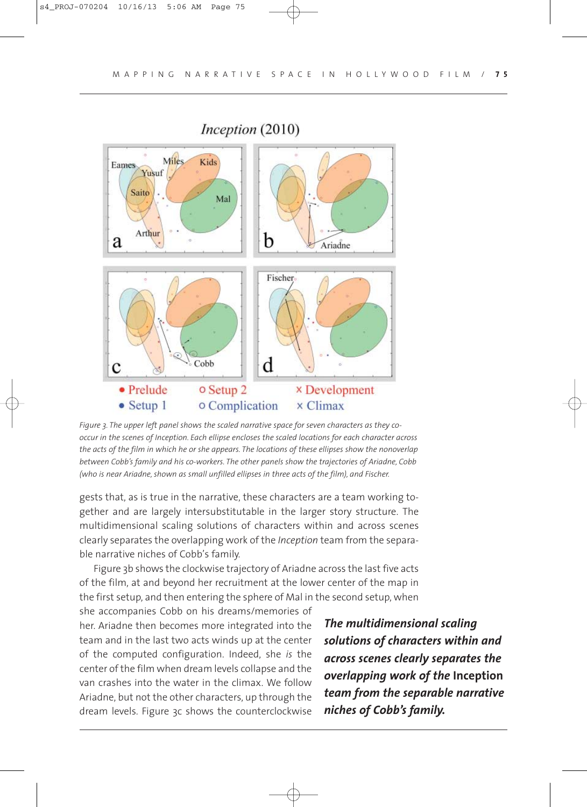

Inception (2010)

Figure 3. The upper left panel shows the scaled narrative space for seven characters as they cooccur in the scenes of Inception. Each ellipse encloses the scaled locations for each character across the acts of the film in which he or she appears. The locations of these ellipses show the nonoverlap between Cobb's family and his co-workers. The other panels show the trajectories of Ariadne, Cobb (who is near Ariadne, shown as small unfilled ellipses in three acts of the film), and Fischer.

gests that, as is true in the narrative, these characters are a team working together and are largely intersubstitutable in the larger story structure. The multidimensional scaling solutions of characters within and across scenes clearly separates the overlapping work of the Inception team from the separable narrative niches of Cobb's family.

Figure 3b shows the clockwise trajectory of Ariadne across the last five acts of the film, at and beyond her recruitment at the lower center of the map in the first setup, and then entering the sphere of Mal in the second setup, when

she accompanies Cobb on his dreams/memories of her. Ariadne then becomes more integrated into the team and in the last two acts winds up at the center of the computed configuration. Indeed, she is the center of the film when dream levels collapse and the van crashes into the water in the climax. We follow Ariadne, but not the other characters, up through the dream levels. Figure 3c shows the counterclockwise

The multidimensional scaling solutions of characters within and across scenes clearly separates the overlapping work of the Inception team from the separable narrative niches of Cobb's family.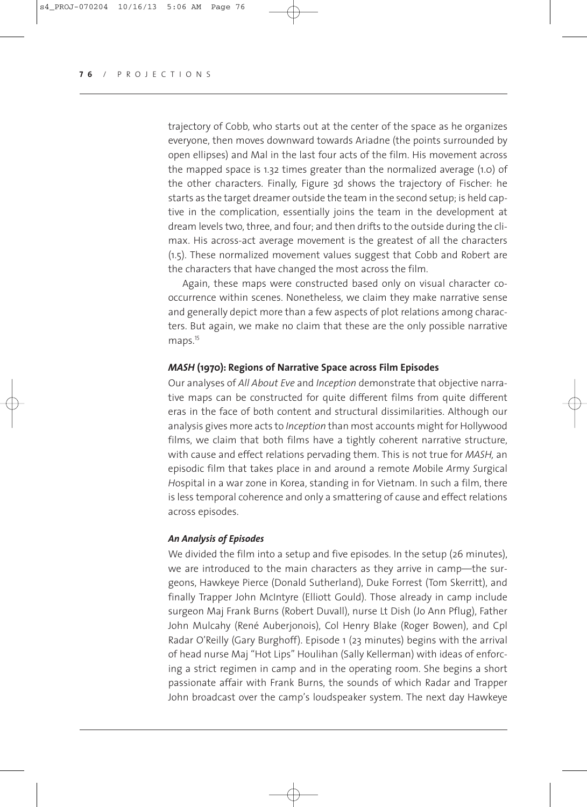trajectory of Cobb, who starts out at the center of the space as he organizes everyone, then moves downward towards Ariadne (the points surrounded by open ellipses) and Mal in the last four acts of the film. His movement across the mapped space is 1.32 times greater than the normalized average (1.0) of the other characters. Finally, Figure 3d shows the trajectory of Fischer: he starts as the target dreamer outside the team in the second setup; is held captive in the complication, essentially joins the team in the development at dream levels two, three, and four; and then drifts to the outside during the climax. His across-act average movement is the greatest of all the characters (1.5). These normalized movement values suggest that Cobb and Robert are the characters that have changed the most across the film.

Again, these maps were constructed based only on visual character cooccurrence within scenes. Nonetheless, we claim they make narrative sense and generally depict more than a few aspects of plot relations among characters. But again, we make no claim that these are the only possible narrative  $maps.^{15}$ 

#### MASH (1970): Regions of Narrative Space across Film Episodes

Our analyses of All About Eve and Inception demonstrate that objective narrative maps can be constructed for quite different films from quite different eras in the face of both content and structural dissimilarities. Although our analysis gives more acts to Inception than most accounts might for Hollywood films, we claim that both films have a tightly coherent narrative structure, with cause and effect relations pervading them. This is not true for MASH, an episodic film that takes place in and around a remote Mobile Army Surgical Hospital in a war zone in Korea, standing in for Vietnam. In such a film, there is less temporal coherence and only a smattering of cause and effect relations across episodes.

## **An Analysis of Episodes**

We divided the film into a setup and five episodes. In the setup (26 minutes), we are introduced to the main characters as they arrive in camp-the surgeons, Hawkeye Pierce (Donald Sutherland), Duke Forrest (Tom Skerritt), and finally Trapper John McIntyre (Elliott Gould). Those already in camp include surgeon Maj Frank Burns (Robert Duvall), nurse Lt Dish (Jo Ann Pflug), Father John Mulcahy (René Auberjonois), Col Henry Blake (Roger Bowen), and Cpl Radar O'Reilly (Gary Burghoff). Episode 1 (23 minutes) begins with the arrival of head nurse Maj "Hot Lips" Houlihan (Sally Kellerman) with ideas of enforcing a strict regimen in camp and in the operating room. She begins a short passionate affair with Frank Burns, the sounds of which Radar and Trapper John broadcast over the camp's loudspeaker system. The next day Hawkeye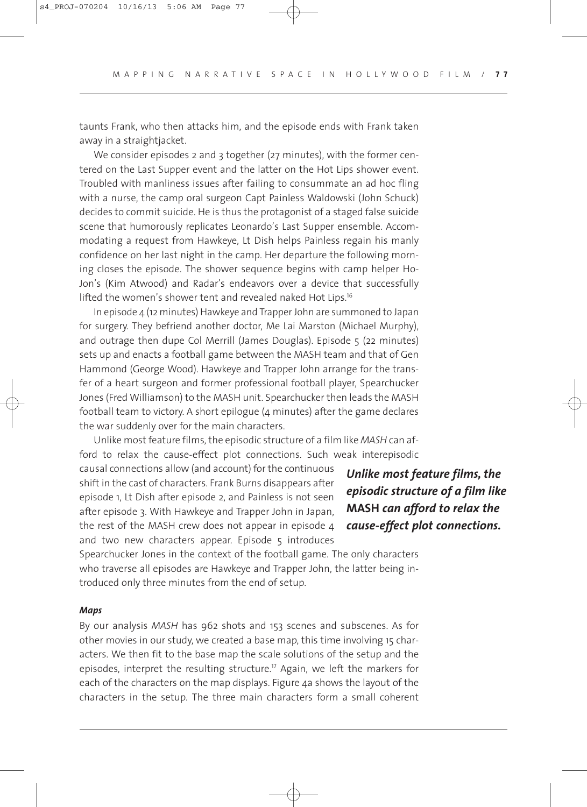taunts Frank, who then attacks him, and the episode ends with Frank taken away in a straightjacket.

We consider episodes 2 and 3 together (27 minutes), with the former centered on the Last Supper event and the latter on the Hot Lips shower event. Troubled with manliness issues after failing to consummate an ad hoc fling with a nurse, the camp oral surgeon Capt Painless Waldowski (John Schuck) decides to commit suicide. He is thus the protagonist of a staged false suicide scene that humorously replicates Leonardo's Last Supper ensemble. Accommodating a request from Hawkeye, Lt Dish helps Painless regain his manly confidence on her last night in the camp. Her departure the following morning closes the episode. The shower sequence begins with camp helper Ho-Jon's (Kim Atwood) and Radar's endeavors over a device that successfully lifted the women's shower tent and revealed naked Hot Lips.<sup>16</sup>

In episode 4 (12 minutes) Hawkeye and Trapper John are summoned to Japan for surgery. They befriend another doctor, Me Lai Marston (Michael Murphy), and outrage then dupe Col Merrill (James Douglas). Episode 5 (22 minutes) sets up and enacts a football game between the MASH team and that of Gen Hammond (George Wood). Hawkeye and Trapper John arrange for the transfer of a heart surgeon and former professional football player, Spearchucker Jones (Fred Williamson) to the MASH unit. Spearchucker then leads the MASH football team to victory. A short epilogue (4 minutes) after the game declares the war suddenly over for the main characters.

Unlike most feature films, the episodic structure of a film like MASH can afford to relax the cause-effect plot connections. Such weak interepisodic

causal connections allow (and account) for the continuous shift in the cast of characters. Frank Burns disappears after episode 1, Lt Dish after episode 2, and Painless is not seen after episode 3. With Hawkeye and Trapper John in Japan, the rest of the MASH crew does not appear in episode 4 and two new characters appear. Episode 5 introduces

Unlike most feature films, the episodic structure of a film like MASH can afford to relax the cause-effect plot connections.

Spearchucker Jones in the context of the football game. The only characters who traverse all episodes are Hawkeye and Trapper John, the latter being introduced only three minutes from the end of setup.

#### **Maps**

By our analysis MASH has 962 shots and 153 scenes and subscenes. As for other movies in our study, we created a base map, this time involving 15 characters. We then fit to the base map the scale solutions of the setup and the episodes, interpret the resulting structure.<sup>17</sup> Again, we left the markers for each of the characters on the map displays. Figure 4a shows the layout of the characters in the setup. The three main characters form a small coherent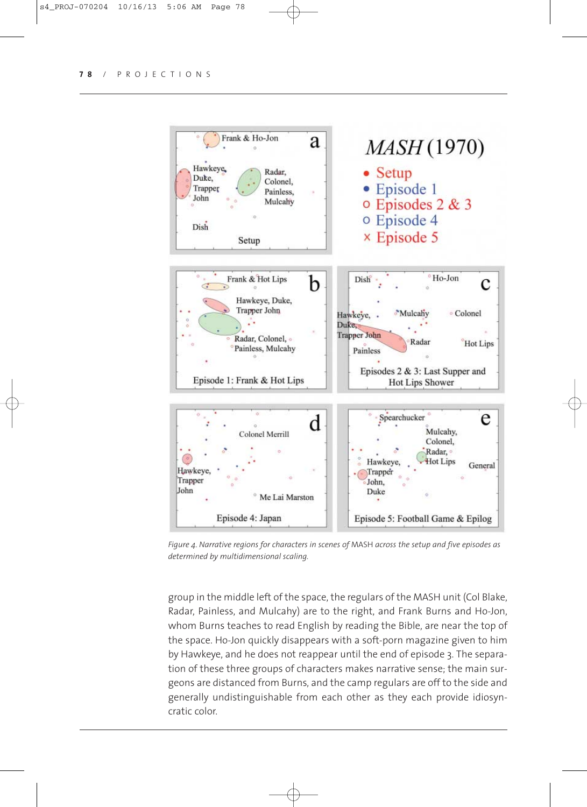

Figure 4. Narrative regions for characters in scenes of MASH across the setup and five episodes as determined by multidimensional scaling.

group in the middle left of the space, the regulars of the MASH unit (Col Blake, Radar, Painless, and Mulcahy) are to the right, and Frank Burns and Ho-Jon, whom Burns teaches to read English by reading the Bible, are near the top of the space. Ho-Jon quickly disappears with a soft-porn magazine given to him by Hawkeye, and he does not reappear until the end of episode 3. The separation of these three groups of characters makes narrative sense; the main surgeons are distanced from Burns, and the camp regulars are off to the side and generally undistinguishable from each other as they each provide idiosyncratic color.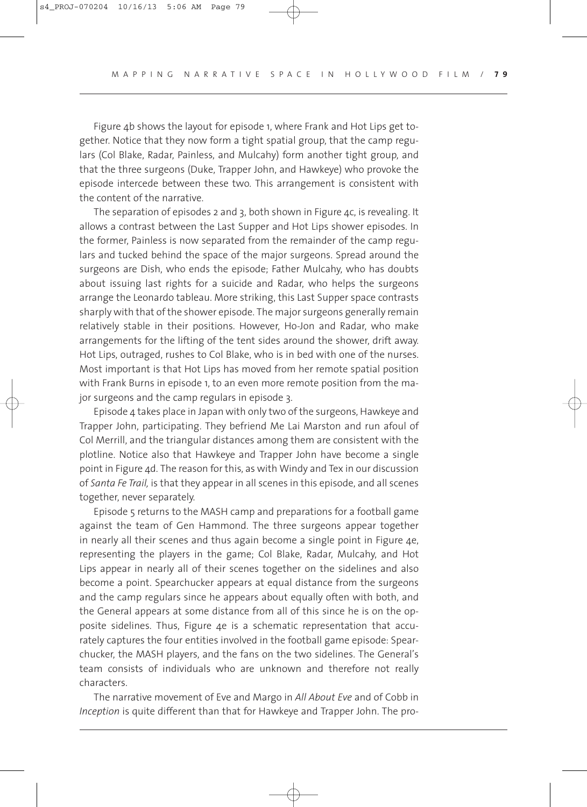Figure 4b shows the layout for episode 1, where Frank and Hot Lips get together. Notice that they now form a tight spatial group, that the camp regulars (Col Blake, Radar, Painless, and Mulcahy) form another tight group, and that the three surgeons (Duke, Trapper John, and Hawkeye) who provoke the episode intercede between these two. This arrangement is consistent with the content of the narrative.

The separation of episodes 2 and 3, both shown in Figure 4c, is revealing. It allows a contrast between the Last Supper and Hot Lips shower episodes. In the former, Painless is now separated from the remainder of the camp regulars and tucked behind the space of the major surgeons. Spread around the surgeons are Dish, who ends the episode; Father Mulcahy, who has doubts about issuing last rights for a suicide and Radar, who helps the surgeons arrange the Leonardo tableau. More striking, this Last Supper space contrasts sharply with that of the shower episode. The major surgeons generally remain relatively stable in their positions. However, Ho-Jon and Radar, who make arrangements for the lifting of the tent sides around the shower, drift away. Hot Lips, outraged, rushes to Col Blake, who is in bed with one of the nurses. Most important is that Hot Lips has moved from her remote spatial position with Frank Burns in episode 1, to an even more remote position from the major surgeons and the camp regulars in episode 3.

Episode 4 takes place in Japan with only two of the surgeons, Hawkeye and Trapper John, participating. They befriend Me Lai Marston and run afoul of Col Merrill, and the triangular distances among them are consistent with the plotline. Notice also that Hawkeye and Trapper John have become a single point in Figure 4d. The reason for this, as with Windy and Tex in our discussion of Santa Fe Trail, is that they appear in all scenes in this episode, and all scenes together, never separately.

Episode 5 returns to the MASH camp and preparations for a football game against the team of Gen Hammond. The three surgeons appear together in nearly all their scenes and thus again become a single point in Figure 4e, representing the players in the game; Col Blake, Radar, Mulcahy, and Hot Lips appear in nearly all of their scenes together on the sidelines and also become a point. Spearchucker appears at equal distance from the surgeons and the camp regulars since he appears about equally often with both, and the General appears at some distance from all of this since he is on the opposite sidelines. Thus, Figure 4e is a schematic representation that accurately captures the four entities involved in the football game episode: Spearchucker, the MASH players, and the fans on the two sidelines. The General's team consists of individuals who are unknown and therefore not really characters.

The narrative movement of Eve and Margo in All About Eve and of Cobb in Inception is quite different than that for Hawkeye and Trapper John. The pro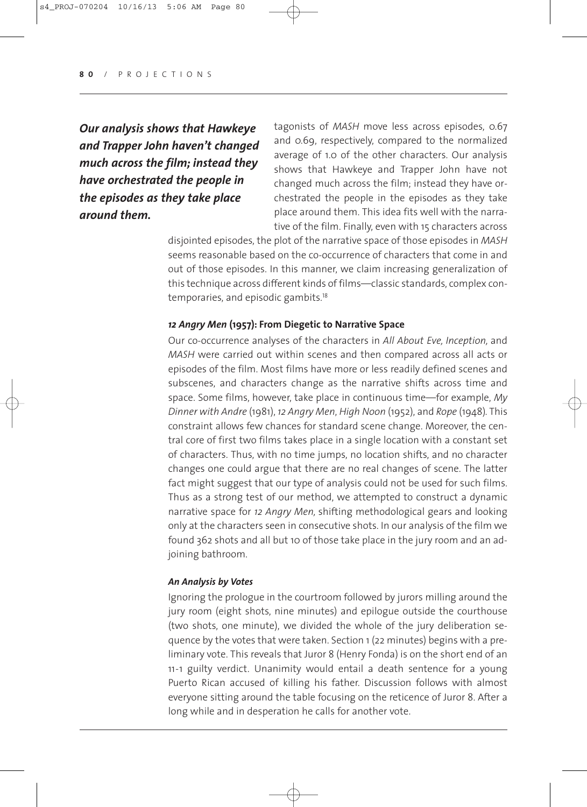Our analysis shows that Hawkeye and Trapper John haven't changed much across the film; instead they have orchestrated the people in the episodes as they take place around them.

tagonists of MASH move less across episodes, 0.67 and 0.69, respectively, compared to the normalized average of 1.0 of the other characters. Our analysis shows that Hawkeye and Trapper John have not changed much across the film; instead they have orchestrated the people in the episodes as they take place around them. This idea fits well with the narrative of the film. Finally, even with 15 characters across

disjointed episodes, the plot of the narrative space of those episodes in MASH seems reasonable based on the co-occurrence of characters that come in and out of those episodes. In this manner, we claim increasing generalization of this technique across different kinds of films-classic standards, complex contemporaries, and episodic gambits.<sup>18</sup>

#### 12 Angry Men (1957): From Diegetic to Narrative Space

Our co-occurrence analyses of the characters in All About Eve, Inception, and MASH were carried out within scenes and then compared across all acts or episodes of the film. Most films have more or less readily defined scenes and subscenes, and characters change as the narrative shifts across time and space. Some films, however, take place in continuous time-for example, My Dinner with Andre (1981), 12 Angry Men, High Noon (1952), and Rope (1948). This constraint allows few chances for standard scene change. Moreover, the central core of first two films takes place in a single location with a constant set of characters. Thus, with no time jumps, no location shifts, and no character changes one could argue that there are no real changes of scene. The latter fact might suggest that our type of analysis could not be used for such films. Thus as a strong test of our method, we attempted to construct a dynamic narrative space for 12 Angry Men, shifting methodological gears and looking only at the characters seen in consecutive shots. In our analysis of the film we found 362 shots and all but 10 of those take place in the jury room and an adjoining bathroom.

#### An Analysis by Votes

Ignoring the prologue in the courtroom followed by jurors milling around the jury room (eight shots, nine minutes) and epilogue outside the courthouse (two shots, one minute), we divided the whole of the jury deliberation sequence by the votes that were taken. Section 1 (22 minutes) begins with a preliminary vote. This reveals that Juror 8 (Henry Fonda) is on the short end of an 11-1 guilty verdict. Unanimity would entail a death sentence for a young Puerto Rican accused of killing his father. Discussion follows with almost everyone sitting around the table focusing on the reticence of Juror 8. After a long while and in desperation he calls for another vote.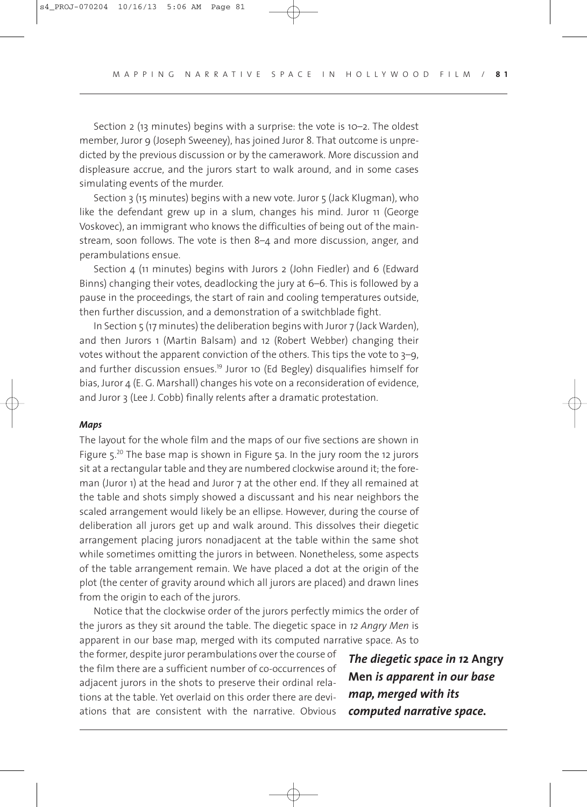Section 2 (13 minutes) begins with a surprise: the vote is 10-2. The oldest member, Juror 9 (Joseph Sweeney), has joined Juror 8. That outcome is unpredicted by the previous discussion or by the camerawork. More discussion and displeasure accrue, and the jurors start to walk around, and in some cases simulating events of the murder.

Section 3 (15 minutes) begins with a new vote. Juror 5 (Jack Klugman), who like the defendant grew up in a slum, changes his mind. Juror 11 (George Voskovec), an immigrant who knows the difficulties of being out of the mainstream, soon follows. The vote is then 8-4 and more discussion, anger, and perambulations ensue.

Section 4 (11 minutes) begins with Jurors 2 (John Fiedler) and 6 (Edward Binns) changing their votes, deadlocking the jury at 6-6. This is followed by a pause in the proceedings, the start of rain and cooling temperatures outside, then further discussion, and a demonstration of a switchblade fight.

In Section 5 (17 minutes) the deliberation begins with Juror 7 (Jack Warden), and then Jurors 1 (Martin Balsam) and 12 (Robert Webber) changing their votes without the apparent conviction of the others. This tips the vote to  $3-9$ , and further discussion ensues.<sup>19</sup> Juror 10 (Ed Begley) disqualifies himself for bias, Juror 4 (E. G. Marshall) changes his vote on a reconsideration of evidence, and Juror 3 (Lee J. Cobb) finally relents after a dramatic protestation.

#### **Maps**

The layout for the whole film and the maps of our five sections are shown in Figure  $5.^{20}$  The base map is shown in Figure  $5a$ . In the jury room the 12 jurors sit at a rectangular table and they are numbered clockwise around it; the foreman (Juror 1) at the head and Juror 7 at the other end. If they all remained at the table and shots simply showed a discussant and his near neighbors the scaled arrangement would likely be an ellipse. However, during the course of deliberation all jurors get up and walk around. This dissolves their diegetic arrangement placing jurors nonadjacent at the table within the same shot while sometimes omitting the jurors in between. Nonetheless, some aspects of the table arrangement remain. We have placed a dot at the origin of the plot (the center of gravity around which all jurors are placed) and drawn lines from the origin to each of the jurors.

Notice that the clockwise order of the jurors perfectly mimics the order of the jurors as they sit around the table. The diegetic space in 12 Angry Men is apparent in our base map, merged with its computed narrative space. As to

the former, despite juror perambulations over the course of the film there are a sufficient number of co-occurrences of adjacent jurors in the shots to preserve their ordinal relations at the table. Yet overlaid on this order there are deviations that are consistent with the narrative. Obvious

The diegetic space in 12 Angry Men is apparent in our base map, merged with its computed narrative space.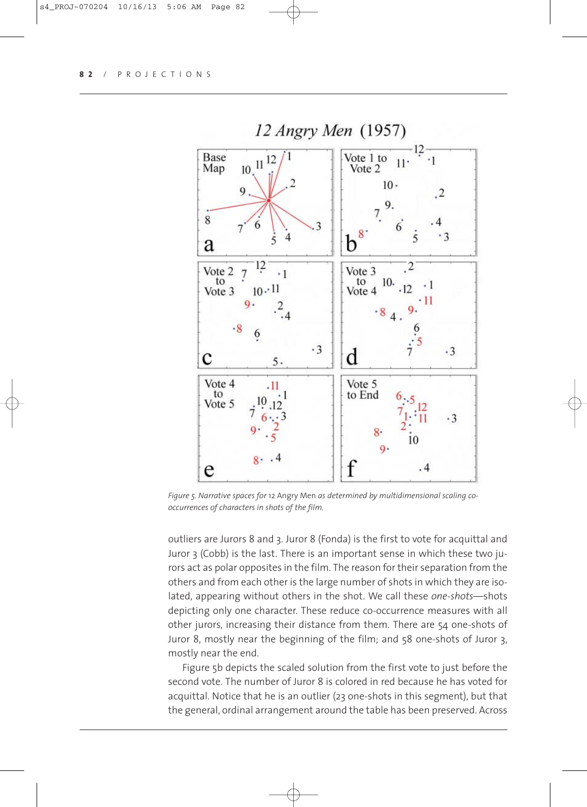

Figure 5. Narrative spaces for 12 Angry Men as determined by multidimensional scaling cooccurrences of characters in shots of the film.

outliers are Jurors 8 and 3. Juror 8 (Fonda) is the first to vote for acquittal and Juror 3 (Cobb) is the last. There is an important sense in which these two jurors act as polar opposites in the film. The reason for their separation from the others and from each other is the large number of shots in which they are isolated, appearing without others in the shot. We call these one-shots-shots depicting only one character. These reduce co-occurrence measures with all other jurors, increasing their distance from them. There are 54 one-shots of Juror 8, mostly near the beginning of the film; and 58 one-shots of Juror 3, mostly near the end.

Figure 5b depicts the scaled solution from the first vote to just before the second vote. The number of Juror 8 is colored in red because he has voted for acquittal. Notice that he is an outlier (23 one-shots in this segment), but that the general, ordinal arrangement around the table has been preserved. Across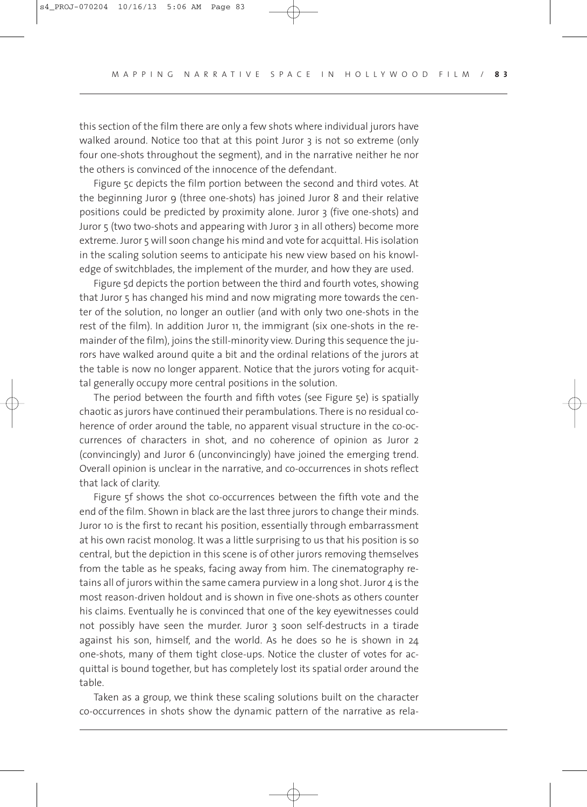this section of the film there are only a few shots where individual jurors have walked around. Notice too that at this point Juror 3 is not so extreme (only four one-shots throughout the segment), and in the narrative neither he nor the others is convinced of the innocence of the defendant.

Figure 5c depicts the film portion between the second and third votes. At the beginning Juror 9 (three one-shots) has joined Juror 8 and their relative positions could be predicted by proximity alone. Juror 3 (five one-shots) and Juror 5 (two two-shots and appearing with Juror 3 in all others) become more extreme. Juror 5 will soon change his mind and vote for acquittal. His isolation in the scaling solution seems to anticipate his new view based on his knowledge of switchblades, the implement of the murder, and how they are used.

Figure 5d depicts the portion between the third and fourth votes, showing that Juror 5 has changed his mind and now migrating more towards the center of the solution, no longer an outlier (and with only two one-shots in the rest of the film). In addition Juror 11, the immigrant (six one-shots in the remainder of the film), joins the still-minority view. During this sequence the jurors have walked around quite a bit and the ordinal relations of the jurors at the table is now no longer apparent. Notice that the jurors voting for acquittal generally occupy more central positions in the solution.

The period between the fourth and fifth votes (see Figure 5e) is spatially chaotic as jurors have continued their perambulations. There is no residual coherence of order around the table, no apparent visual structure in the co-occurrences of characters in shot, and no coherence of opinion as Juror 2 (convincingly) and Juror 6 (unconvincingly) have joined the emerging trend. Overall opinion is unclear in the narrative, and co-occurrences in shots reflect that lack of clarity.

Figure 5f shows the shot co-occurrences between the fifth vote and the end of the film. Shown in black are the last three jurors to change their minds. Juror 10 is the first to recant his position, essentially through embarrassment at his own racist monolog. It was a little surprising to us that his position is so central, but the depiction in this scene is of other jurors removing themselves from the table as he speaks, facing away from him. The cinematography retains all of jurors within the same camera purview in a long shot. Juror  $4$  is the most reason-driven holdout and is shown in five one-shots as others counter his claims. Eventually he is convinced that one of the key eyewitnesses could not possibly have seen the murder. Juror 3 soon self-destructs in a tirade against his son, himself, and the world. As he does so he is shown in 24 one-shots, many of them tight close-ups. Notice the cluster of votes for acquittal is bound together, but has completely lost its spatial order around the table.

Taken as a group, we think these scaling solutions built on the character co-occurrences in shots show the dynamic pattern of the narrative as rela-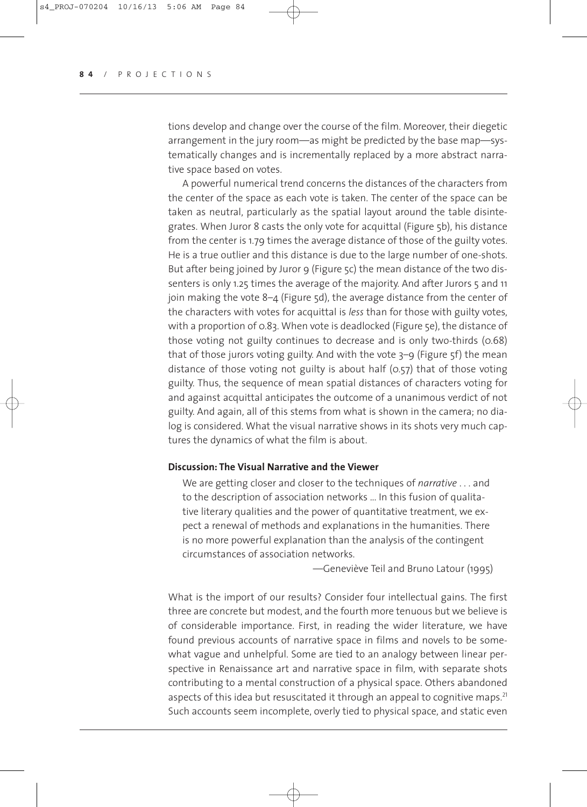tions develop and change over the course of the film. Moreover, their diegetic arrangement in the jury room-as might be predicted by the base map-systematically changes and is incrementally replaced by a more abstract narrative space based on votes.

A powerful numerical trend concerns the distances of the characters from the center of the space as each vote is taken. The center of the space can be taken as neutral, particularly as the spatial layout around the table disintegrates. When Juror 8 casts the only vote for acquittal (Figure 5b), his distance from the center is 1.79 times the average distance of those of the guilty votes. He is a true outlier and this distance is due to the large number of one-shots. But after being joined by Juror 9 (Figure 5c) the mean distance of the two dissenters is only 1.25 times the average of the majority. And after Jurors 5 and 11 join making the vote 8-4 (Figure 5d), the average distance from the center of the characters with votes for acquittal is less than for those with guilty votes, with a proportion of 0.83. When vote is deadlocked (Figure 5e), the distance of those voting not guilty continues to decrease and is only two-thirds (0.68) that of those jurors voting guilty. And with the vote  $3-9$  (Figure 5f) the mean distance of those voting not guilty is about half (0.57) that of those voting guilty. Thus, the sequence of mean spatial distances of characters voting for and against acquittal anticipates the outcome of a unanimous verdict of not guilty. And again, all of this stems from what is shown in the camera; no dialog is considered. What the visual narrative shows in its shots very much captures the dynamics of what the film is about.

#### Discussion: The Visual Narrative and the Viewer

We are getting closer and closer to the techniques of narrative . . . and to the description of association networks ... In this fusion of qualitative literary qualities and the power of quantitative treatment, we expect a renewal of methods and explanations in the humanities. There is no more powerful explanation than the analysis of the contingent circumstances of association networks.

-Geneviève Teil and Bruno Latour (1995)

What is the import of our results? Consider four intellectual gains. The first three are concrete but modest, and the fourth more tenuous but we believe is of considerable importance. First, in reading the wider literature, we have found previous accounts of narrative space in films and novels to be somewhat vague and unhelpful. Some are tied to an analogy between linear perspective in Renaissance art and narrative space in film, with separate shots contributing to a mental construction of a physical space. Others abandoned aspects of this idea but resuscitated it through an appeal to cognitive maps.<sup>21</sup> Such accounts seem incomplete, overly tied to physical space, and static even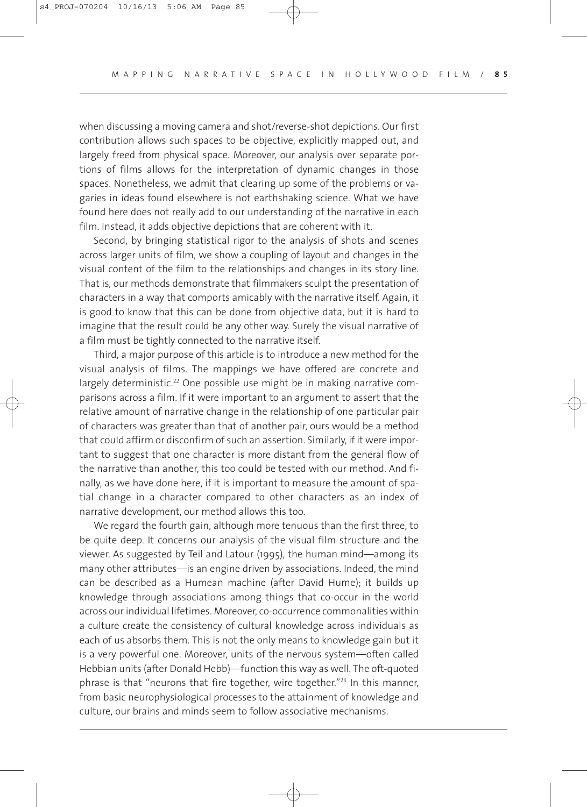when discussing a moving camera and shot/reverse-shot depictions. Our first contribution allows such spaces to be objective, explicitly mapped out, and largely freed from physical space. Moreover, our analysis over separate portions of films allows for the interpretation of dynamic changes in those spaces. Nonetheless, we admit that clearing up some of the problems or vagaries in ideas found elsewhere is not earthshaking science. What we have found here does not really add to our understanding of the narrative in each film. Instead, it adds objective depictions that are coherent with it.

Second, by bringing statistical rigor to the analysis of shots and scenes across larger units of film, we show a coupling of layout and changes in the visual content of the film to the relationships and changes in its story line. That is, our methods demonstrate that filmmakers sculpt the presentation of characters in a way that comports amicably with the narrative itself. Again, it is good to know that this can be done from objective data, but it is hard to imagine that the result could be any other way. Surely the visual narrative of a film must be tightly connected to the narrative itself.

Third, a major purpose of this article is to introduce a new method for the visual analysis of films. The mappings we have offered are concrete and largely deterministic.<sup>22</sup> One possible use might be in making narrative comparisons across a film. If it were important to an argument to assert that the relative amount of narrative change in the relationship of one particular pair of characters was greater than that of another pair, ours would be a method that could affirm or disconfirm of such an assertion. Similarly, if it were important to suggest that one character is more distant from the general flow of the narrative than another, this too could be tested with our method. And finally, as we have done here, if it is important to measure the amount of spatial change in a character compared to other characters as an index of narrative development, our method allows this too.

We regard the fourth gain, although more tenuous than the first three, to be quite deep. It concerns our analysis of the visual film structure and the viewer. As suggested by Teil and Latour (1995), the human mind—among its many other attributes-is an engine driven by associations. Indeed, the mind can be described as a Humean machine (after David Hume); it builds up knowledge through associations among things that co-occur in the world across our individual lifetimes. Moreover, co-occurrence commonalities within a culture create the consistency of cultural knowledge across individuals as each of us absorbs them. This is not the only means to knowledge gain but it is a very powerful one. Moreover, units of the nervous system-often called Hebbian units (after Donald Hebb)-function this way as well. The oft-quoted phrase is that "neurons that fire together, wire together."<sup>23</sup> In this manner, from basic neurophysiological processes to the attainment of knowledge and culture, our brains and minds seem to follow associative mechanisms.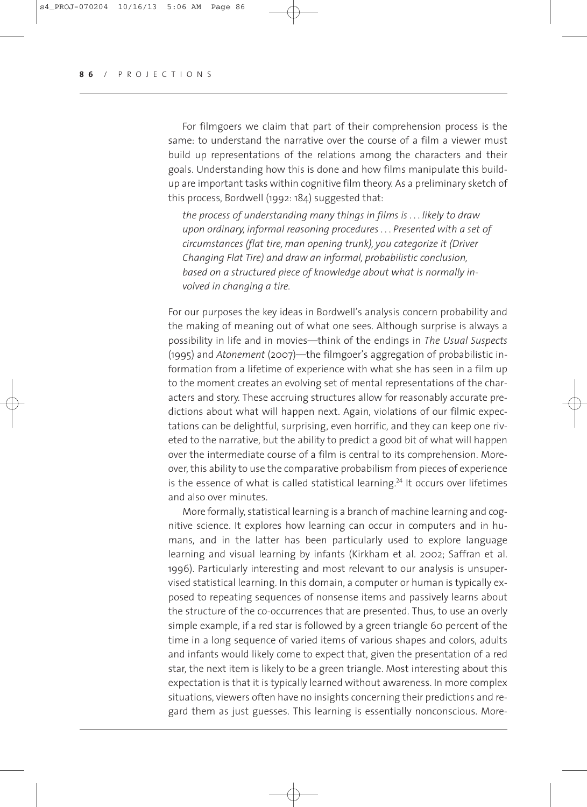For filmgoers we claim that part of their comprehension process is the same: to understand the narrative over the course of a film a viewer must build up representations of the relations among the characters and their goals. Understanding how this is done and how films manipulate this buildup are important tasks within cognitive film theory. As a preliminary sketch of this process, Bordwell (1992: 184) suggested that:

the process of understanding many things in films is ... likely to draw upon ordinary, informal reasoning procedures ... Presented with a set of circumstances (flat tire, man opening trunk), you categorize it (Driver Changing Flat Tire) and draw an informal, probabilistic conclusion, based on a structured piece of knowledge about what is normally involved in changing a tire.

For our purposes the key ideas in Bordwell's analysis concern probability and the making of meaning out of what one sees. Although surprise is always a possibility in life and in movies-think of the endings in The Usual Suspects  $(1995)$  and Atonement (2007)—the filmgoer's aggregation of probabilistic information from a lifetime of experience with what she has seen in a film up to the moment creates an evolving set of mental representations of the characters and story. These accruing structures allow for reasonably accurate predictions about what will happen next. Again, violations of our filmic expectations can be delightful, surprising, even horrific, and they can keep one riveted to the narrative, but the ability to predict a good bit of what will happen over the intermediate course of a film is central to its comprehension. Moreover, this ability to use the comparative probabilism from pieces of experience is the essence of what is called statistical learning.<sup>24</sup> It occurs over lifetimes and also over minutes.

More formally, statistical learning is a branch of machine learning and cognitive science. It explores how learning can occur in computers and in humans, and in the latter has been particularly used to explore language learning and visual learning by infants (Kirkham et al. 2002; Saffran et al. 1996). Particularly interesting and most relevant to our analysis is unsupervised statistical learning. In this domain, a computer or human is typically exposed to repeating sequences of nonsense items and passively learns about the structure of the co-occurrences that are presented. Thus, to use an overly simple example, if a red star is followed by a green triangle 60 percent of the time in a long sequence of varied items of various shapes and colors, adults and infants would likely come to expect that, given the presentation of a red star, the next item is likely to be a green triangle. Most interesting about this expectation is that it is typically learned without awareness. In more complex situations, viewers often have no insights concerning their predictions and regard them as just guesses. This learning is essentially nonconscious. More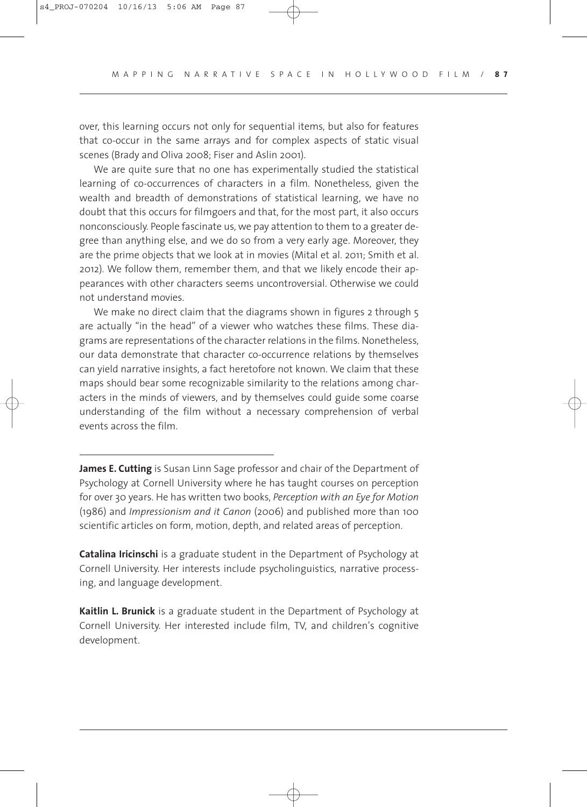over, this learning occurs not only for sequential items, but also for features that co-occur in the same arrays and for complex aspects of static visual scenes (Brady and Oliva 2008; Fiser and Aslin 2001).

We are quite sure that no one has experimentally studied the statistical learning of co-occurrences of characters in a film. Nonetheless, given the wealth and breadth of demonstrations of statistical learning, we have no doubt that this occurs for filmgoers and that, for the most part, it also occurs nonconsciously. People fascinate us, we pay attention to them to a greater degree than anything else, and we do so from a very early age. Moreover, they are the prime objects that we look at in movies (Mital et al. 2011; Smith et al. 2012). We follow them, remember them, and that we likely encode their appearances with other characters seems uncontroversial. Otherwise we could not understand movies

We make no direct claim that the diagrams shown in figures 2 through 5 are actually "in the head" of a viewer who watches these films. These diagrams are representations of the character relations in the films. Nonetheless, our data demonstrate that character co-occurrence relations by themselves can yield narrative insights, a fact heretofore not known. We claim that these maps should bear some recognizable similarity to the relations among characters in the minds of viewers, and by themselves could guide some coarse understanding of the film without a necessary comprehension of verbal events across the film.

James E. Cutting is Susan Linn Sage professor and chair of the Department of Psychology at Cornell University where he has taught courses on perception for over 30 years. He has written two books, Perception with an Eye for Motion (1986) and Impressionism and it Canon (2006) and published more than 100 scientific articles on form, motion, depth, and related areas of perception.

**Catalina Iricinschi** is a graduate student in the Department of Psychology at Cornell University. Her interests include psycholinguistics, narrative processing, and language development.

Kaitlin L. Brunick is a graduate student in the Department of Psychology at Cornell University. Her interested include film, TV, and children's cognitive development.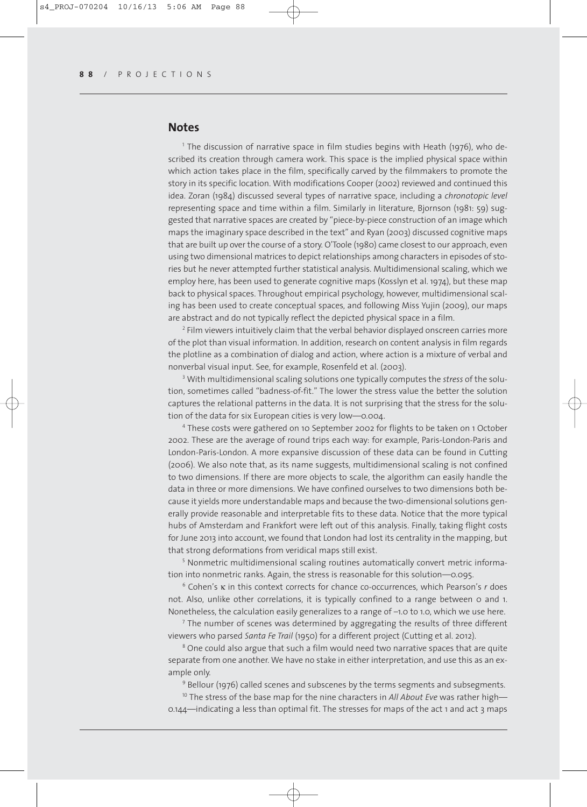## **Notes**

<sup>1</sup> The discussion of narrative space in film studies begins with Heath (1976), who described its creation through camera work. This space is the implied physical space within which action takes place in the film, specifically carved by the filmmakers to promote the story in its specific location. With modifications Cooper (2002) reviewed and continued this idea. Zoran (1984) discussed several types of narrative space, including a *chronotopic level* representing space and time within a film. Similarly in literature, Biornson (1981: 59) suggested that narrative spaces are created by "piece-by-piece construction of an image which maps the imaginary space described in the text" and Ryan (2003) discussed cognitive maps that are built up over the course of a story. O'Toole (1980) came closest to our approach, even using two dimensional matrices to depict relationships among characters in episodes of stories but he never attempted further statistical analysis. Multidimensional scaling, which we employ here, has been used to generate cognitive maps (Kosslyn et al. 1974), but these map back to physical spaces. Throughout empirical psychology, however, multidimensional scaling has been used to create conceptual spaces, and following Miss Yujin (2009), our maps are abstract and do not typically reflect the depicted physical space in a film.

<sup>2</sup> Film viewers intuitively claim that the verbal behavior displayed onscreen carries more of the plot than visual information. In addition, research on content analysis in film regards the plotline as a combination of dialog and action, where action is a mixture of verbal and nonverbal visual input. See, for example, Rosenfeld et al. (2003).

<sup>3</sup> With multidimensional scaling solutions one typically computes the *stress* of the solution, sometimes called "badness-of-fit." The lower the stress value the better the solution captures the relational patterns in the data. It is not surprising that the stress for the solution of the data for six European cities is very low-o.004.

<sup>4</sup> These costs were gathered on 10 September 2002 for flights to be taken on 1 October 2002. These are the average of round trips each way: for example, Paris-London-Paris and London-Paris-London. A more expansive discussion of these data can be found in Cutting (2006). We also note that, as its name suggests, multidimensional scaling is not confined to two dimensions. If there are more objects to scale, the algorithm can easily handle the data in three or more dimensions. We have confined ourselves to two dimensions both because it yields more understandable maps and because the two-dimensional solutions generally provide reasonable and interpretable fits to these data. Notice that the more typical hubs of Amsterdam and Frankfort were left out of this analysis. Finally, taking flight costs for June 2013 into account, we found that London had lost its centrality in the mapping, but that strong deformations from veridical maps still exist.

<sup>5</sup> Nonmetric multidimensional scaling routines automatically convert metric information into nonmetric ranks. Again, the stress is reasonable for this solution-0.095.

<sup>6</sup> Cohen's  $\kappa$  in this context corrects for chance co-occurrences, which Pearson's r does not. Also, unlike other correlations, it is typically confined to a range between o and 1. Nonetheless, the calculation easily generalizes to a range of -1.0 to 1.0, which we use here.

<sup>7</sup> The number of scenes was determined by aggregating the results of three different viewers who parsed Santa Fe Trail (1950) for a different project (Cutting et al. 2012).

<sup>8</sup> One could also argue that such a film would need two narrative spaces that are quite separate from one another. We have no stake in either interpretation, and use this as an example only.

<sup>9</sup> Bellour (1976) called scenes and subscenes by the terms segments and subsegments.

<sup>10</sup> The stress of the base map for the nine characters in All About Eve was rather high-0.144—indicating a less than optimal fit. The stresses for maps of the act 1 and act 3 maps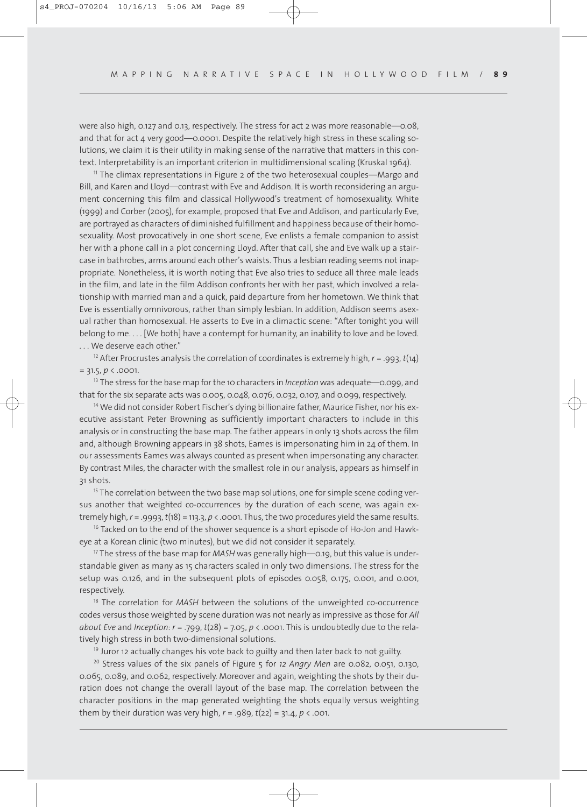were also high, 0.127 and 0.13, respectively. The stress for act 2 was more reasonable-0.08, and that for act 4 very good-0.0001. Despite the relatively high stress in these scaling solutions, we claim it is their utility in making sense of the narrative that matters in this context. Interpretability is an important criterion in multidimensional scaling (Kruskal 1964).

<sup>11</sup> The climax representations in Figure 2 of the two heterosexual couples—Margo and Bill, and Karen and Lloyd—contrast with Eve and Addison. It is worth reconsidering an argument concerning this film and classical Hollywood's treatment of homosexuality. White (1999) and Corber (2005), for example, proposed that Eve and Addison, and particularly Eve, are portrayed as characters of diminished fulfillment and happiness because of their homosexuality. Most provocatively in one short scene, Eve enlists a female companion to assist her with a phone call in a plot concerning Lloyd. After that call, she and Eve walk up a staircase in bathrobes, arms around each other's waists. Thus a lesbian reading seems not inappropriate. Nonetheless, it is worth noting that Eve also tries to seduce all three male leads in the film, and late in the film Addison confronts her with her past, which involved a relationship with married man and a quick, paid departure from her hometown. We think that Eve is essentially omnivorous, rather than simply lesbian. In addition, Addison seems asexual rather than homosexual. He asserts to Eve in a climactic scene: "After tonight you will belong to me.... [We both] have a contempt for humanity, an inability to love and be loved. ... We deserve each other."

<sup>12</sup> After Procrustes analysis the correlation of coordinates is extremely high,  $r = .993$ ,  $t(14)$  $=$  31.5,  $p$  < .0001.

<sup>13</sup> The stress for the base map for the 10 characters in *Inception* was adequate-0.099, and that for the six separate acts was 0.005, 0.048, 0.076, 0.032, 0.107, and 0.099, respectively.

<sup>14</sup> We did not consider Robert Fischer's dying billionaire father, Maurice Fisher, nor his executive assistant Peter Browning as sufficiently important characters to include in this analysis or in constructing the base map. The father appears in only 13 shots across the film and, although Browning appears in 38 shots, Eames is impersonating him in 24 of them. In our assessments Eames was always counted as present when impersonating any character. By contrast Miles, the character with the smallest role in our analysis, appears as himself in 31 shots.

<sup>15</sup> The correlation between the two base map solutions, one for simple scene coding versus another that weighted co-occurrences by the duration of each scene, was again extremely high,  $r = .9993$ ,  $t(18) = 113.3$ ,  $p < .0001$ . Thus, the two procedures yield the same results.

<sup>16</sup> Tacked on to the end of the shower sequence is a short episode of Ho-Jon and Hawkeye at a Korean clinic (two minutes), but we did not consider it separately.

<sup>17</sup> The stress of the base map for *MASH* was generally high—0.19, but this value is understandable given as many as 15 characters scaled in only two dimensions. The stress for the setup was 0.126, and in the subsequent plots of episodes 0.058, 0.175, 0.001, and 0.001, respectively.

<sup>18</sup> The correlation for MASH between the solutions of the unweighted co-occurrence codes versus those weighted by scene duration was not nearly as impressive as those for All about Eve and Inception:  $r = .799$ ,  $t(28) = 7.05$ ,  $p < .0001$ . This is undoubtedly due to the relatively high stress in both two-dimensional solutions.

<sup>19</sup> Juror 12 actually changes his vote back to guilty and then later back to not guilty.

<sup>20</sup> Stress values of the six panels of Figure 5 for 12 Angry Men are 0.082, 0.051, 0.130, o.065, o.089, and 0.062, respectively. Moreover and again, weighting the shots by their duration does not change the overall layout of the base map. The correlation between the character positions in the map generated weighting the shots equally versus weighting them by their duration was very high,  $r = .989$ ,  $t(22) = 31.4$ ,  $p \lt .001$ .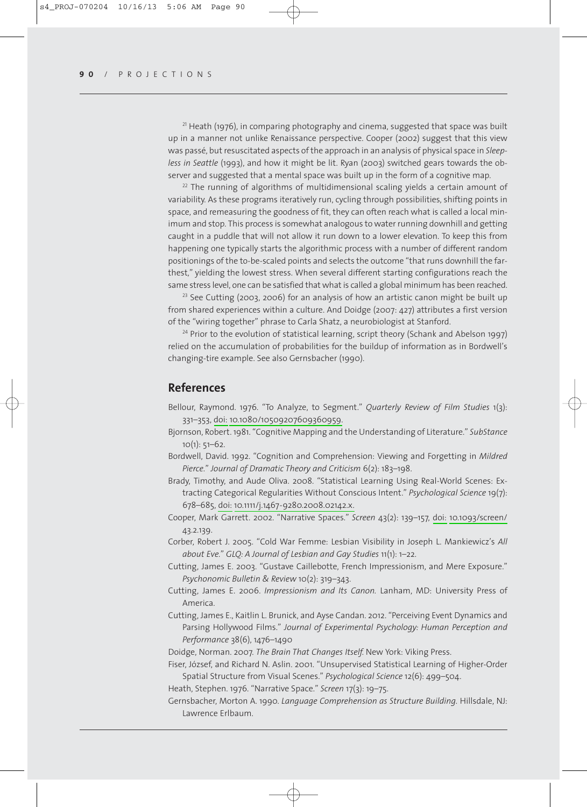<sup>21</sup> Heath (1976), in comparing photography and cinema, suggested that space was built up in a manner not unlike Renaissance perspective. Cooper (2002) suggest that this view was passé, but resuscitated aspects of the approach in an analysis of physical space in Sleepless in Seattle (1993), and how it might be lit. Ryan (2003) switched gears towards the observer and suggested that a mental space was built up in the form of a cognitive map.

<sup>22</sup> The running of algorithms of multidimensional scaling yields a certain amount of variability. As these programs iteratively run, cycling through possibilities, shifting points in space, and remeasuring the goodness of fit, they can often reach what is called a local minimum and stop. This process is somewhat analogous to water running downhill and getting caught in a puddle that will not allow it run down to a lower elevation. To keep this from happening one typically starts the algorithmic process with a number of different random positionings of the to-be-scaled points and selects the outcome "that runs downhill the farthest," yielding the lowest stress. When several different starting configurations reach the same stress level, one can be satisfied that what is called a global minimum has been reached.

<sup>23</sup> See Cutting (2003, 2006) for an analysis of how an artistic canon might be built up from shared experiences within a culture. And Doidge (2007: 427) attributes a first version of the "wiring together" phrase to Carla Shatz, a neurobiologist at Stanford.

<sup>24</sup> Prior to the evolution of statistical learning, script theory (Schank and Abelson 1997) relied on the accumulation of probabilities for the buildup of information as in Bordwell's changing-tire example. See also Gernsbacher (1990).

# **References**

- Bellour, Raymond. 1976. "To Analyze, to Segment." Quarterly Review of Film Studies 1(3): 331-353, doi: 10.1080/10509207609360959.
- Bjornson, Robert. 1981. "Cognitive Mapping and the Understanding of Literature." SubStance  $10(1): 51-62.$
- Bordwell, David. 1992. "Cognition and Comprehension: Viewing and Forgetting in Mildred Pierce." Journal of Dramatic Theory and Criticism 6(2): 183-198.
- Brady, Timothy, and Aude Oliva. 2008. "Statistical Learning Using Real-World Scenes: Extracting Categorical Regularities Without Conscious Intent." Psychological Science 19(7): 678-685, doi: 10.1111/j.1467-9280.2008.02142.x.
- Cooper, Mark Garrett. 2002. "Narrative Spaces." Screen 43(2): 139-157, doi: 10.1093/screen/ 43.2.139.
- Corber, Robert J. 2005. "Cold War Femme: Lesbian Visibility in Joseph L. Mankiewicz's All about Eve." GLQ: A Journal of Lesbian and Gay Studies 11(1): 1-22.
- Cutting, James E. 2003. "Gustave Caillebotte, French Impressionism, and Mere Exposure." Psychonomic Bulletin & Review 10(2): 319-343.
- Cutting, James E. 2006. Impressionism and Its Canon. Lanham, MD: University Press of America.
- Cutting, James E., Kaitlin L. Brunick, and Ayse Candan. 2012. "Perceiving Event Dynamics and Parsing Hollywood Films." Journal of Experimental Psychology: Human Perception and Performance 38(6), 1476-1490

Doidge, Norman. 2007. The Brain That Changes Itself. New York: Viking Press.

- Fiser, József, and Richard N. Aslin. 2001. "Unsupervised Statistical Learning of Higher-Order Spatial Structure from Visual Scenes." Psychological Science 12(6): 499-504.
- Heath, Stephen. 1976. "Narrative Space." Screen 17(3): 19-75.
- Gernsbacher, Morton A. 1990. Language Comprehension as Structure Building. Hillsdale, NJ: Lawrence Erlbaum.